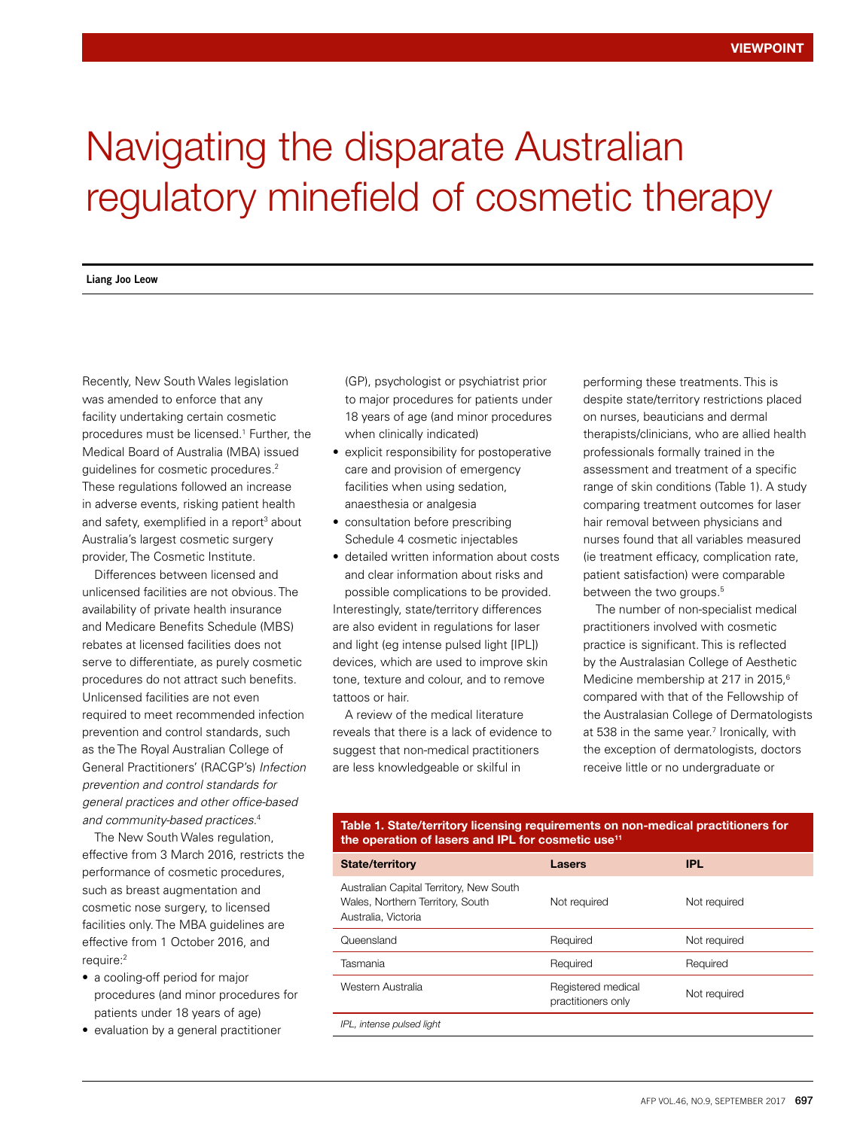# Navigating the disparate Australian regulatory minefield of cosmetic therapy

## **Liang Joo Leow**

Recently, New South Wales legislation was amended to enforce that any facility undertaking certain cosmetic procedures must be licensed.1 Further, the Medical Board of Australia (MBA) issued guidelines for cosmetic procedures.2 These regulations followed an increase in adverse events, risking patient health and safety, exemplified in a report<sup>3</sup> about Australia's largest cosmetic surgery provider, The Cosmetic Institute.

Differences between licensed and unlicensed facilities are not obvious. The availability of private health insurance and Medicare Benefits Schedule (MBS) rebates at licensed facilities does not serve to differentiate, as purely cosmetic procedures do not attract such benefits. Unlicensed facilities are not even required to meet recommended infection prevention and control standards, such as the The Royal Australian College of General Practitioners' (RACGP's) *Infection prevention and control standards for general practices and other office-based and community-based practices.*<sup>4</sup>

The New South Wales regulation, effective from 3 March 2016, restricts the performance of cosmetic procedures, such as breast augmentation and cosmetic nose surgery, to licensed facilities only. The MBA guidelines are effective from 1 October 2016, and require:2

- a cooling-off period for major procedures (and minor procedures for patients under 18 years of age)
- evaluation by a general practitioner

(GP), psychologist or psychiatrist prior to major procedures for patients under 18 years of age (and minor procedures when clinically indicated)

- explicit responsibility for postoperative care and provision of emergency facilities when using sedation, anaesthesia or analgesia
- consultation before prescribing Schedule 4 cosmetic injectables
- detailed written information about costs and clear information about risks and possible complications to be provided. Interestingly, state/territory differences are also evident in regulations for laser and light (eg intense pulsed light [IPL]) devices, which are used to improve skin tone, texture and colour, and to remove tattoos or hair.

A review of the medical literature reveals that there is a lack of evidence to suggest that non-medical practitioners are less knowledgeable or skilful in

performing these treatments. This is despite state/territory restrictions placed on nurses, beauticians and dermal therapists/clinicians, who are allied health professionals formally trained in the assessment and treatment of a specific range of skin conditions (Table 1). A study comparing treatment outcomes for laser hair removal between physicians and nurses found that all variables measured (ie treatment efficacy, complication rate, patient satisfaction) were comparable between the two groups.<sup>5</sup>

The number of non-specialist medical practitioners involved with cosmetic practice is significant. This is reflected by the Australasian College of Aesthetic Medicine membership at 217 in 2015,<sup>6</sup> compared with that of the Fellowship of the Australasian College of Dermatologists at 538 in the same year.<sup>7</sup> Ironically, with the exception of dermatologists, doctors receive little or no undergraduate or

## Table 1. State/territory licensing requirements on non-medical practitioners for the operation of lasers and IPL for cosmetic use<sup>11</sup>

| <b>State/territory</b>                                                                             | Lasers                                   | <b>IPL</b>   |
|----------------------------------------------------------------------------------------------------|------------------------------------------|--------------|
| Australian Capital Territory, New South<br>Wales, Northern Territory, South<br>Australia, Victoria | Not required                             | Not required |
| Queensland                                                                                         | Required                                 | Not required |
| Tasmania                                                                                           | Required                                 | Required     |
| Western Australia                                                                                  | Registered medical<br>practitioners only | Not required |
| IPL, intense pulsed light                                                                          |                                          |              |